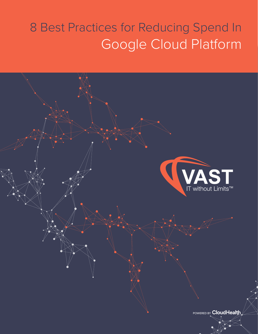### 8 Best Practices for Reducing Spend In Google Cloud Platform

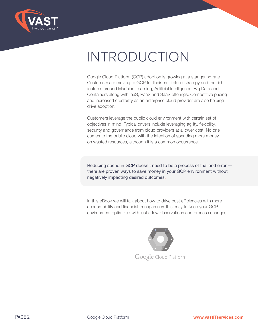

### INTRODUCTION

Google Cloud Platform (GCP) adoption is growing at a staggering rate. Customers are moving to GCP for their multi cloud strategy and the rich features around Machine Learning, Artificial Intelligence, Big Data and Containers along with IaaS, PaaS and SaaS offerings. Competitive pricing and increased credibility as an enterprise cloud provider are also helping drive adoption.

Customers leverage the public cloud environment with certain set of objectives in mind. Typical drivers include leveraging agility, flexibility, security and governance from cloud providers at a lower cost. No one comes to the public cloud with the intention of spending more money on wasted resources, although it is a common occurrence.

Reducing spend in GCP doesn't need to be a process of trial and error there are proven ways to save money in your GCP environment without negatively impacting desired outcomes.

In this eBook we will talk about how to drive cost efficiencies with more accountability and financial transparency. It is easy to keep your GCP environment optimized with just a few observations and process changes.

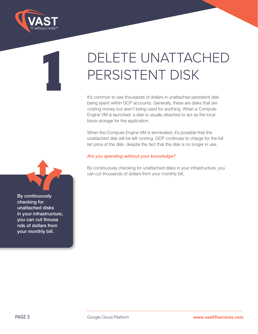

**1**

### DELETE UNATTACHED PERSISTENT DISK

It's common to see thousands of dollars in unattached persistent disk being spent within GCP accounts. Generally, these are disks that are costing money but aren't being used for anything. When a Compute Engine VM is launched, a disk is usually attached to act as the local block storage for the application.

When the Compute Engine VM is terminated, it's possible that the unattached disk will be left running. GCP continues to charge for the full list price of the disk, despite the fact that the disk is no longer in use.

### *Are you spending without your knowledge?*

By continuously checking for unattached disks in your infrastructure, you can cut thousands of dollars from your monthly bill.

By continuously checking for unattached disks in your infrastructure, you can cut thousa nds of dollars from your monthly bill.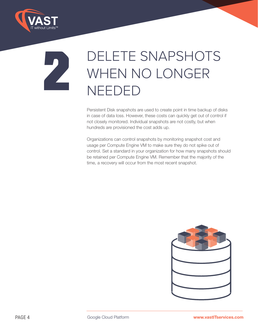

### **2** DELETE SNAPSHOTS<br>WHEN NO LONGER WHEN NO LONGER NEEDED

Persistent Disk snapshots are used to create point in time backup of disks in case of data loss. However, these costs can quickly get out of control if not closely monitored. Individual snapshots are not costly, but when hundreds are provisioned the cost adds up.

Organizations can control snapshots by monitoring snapshot cost and usage per Compute Engine VM to make sure they do not spike out of control. Set a standard in your organization for how many snapshots should be retained per Compute Engine VM. Remember that the majority of the time, a recovery will occur from the most recent snapshot.

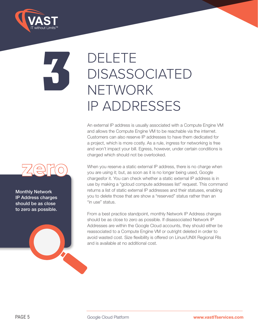

### **3** DELETE DISASSOCIATED **NETWORK** IP ADDRESSES

An external IP address is usually associated with a Compute Engine VM and allows the Compute Engine VM to be reachable via the internet. Customers can also reserve IP addresses to have them dedicated for a project, which is more costly. As a rule, ingress for networking is free and won't impact your bill. Egress, however, under certain conditions is charged which should not be overlooked.



Monthly Network IP Address charges should be as close to zero as possible.

When you reserve a static external IP address, there is no charge when you are using it; but, as soon as it is no longer being used, Google chargesfor it. You can check whether a static external IP address is in use by making a "gcloud compute addresses list" request. This command returns a list of static external IP addresses and their statuses, enabling you to delete those that are show a "reserved" status rather than an "in use" status.

From a best practice standpoint, monthly Network IP Address charges should be as close to zero as possible. If disassociated Network IP Addresses are within the Google Cloud accounts, they should either be reassociated to a Compute Engine VM or outright deleted in order to avoid wasted cost. Size flexibility is offered on Linux/UNIX Regional RIs and is available at no additional cost.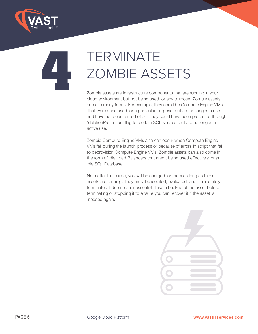

# TERMINATE<br>
ZOMBIE ASS<br>
Zombie assets are infrastructure compor<br>
cloud environment but not being used for ZOMBIE ASSETS

Zombie assets are infrastructure components that are running in your cloud environment but not being used for any purpose. Zombie assets come in many forms. For example, they could be Compute Engine VMs that were once used for a particular purpose, but are no longer in use and have not been turned off. Or they could have been protected through 'deletionProtection' flag for certain SQL servers, but are no longer in active use.

Zombie Compute Engine VMs also can occur when Compute Engine VMs fail during the launch process or because of errors in script that fail to deprovision Compute Engine VMs. Zombie assets can also come in the form of idle Load Balancers that aren't being used effectively, or an idle SQL Database.

No matter the cause, you will be charged for them as long as these assets are running. They must be isolated, evaluated, and immediately terminated if deemed nonessential. Take a backup of the asset before terminating or stopping it to ensure you can recover it if the asset is needed again.

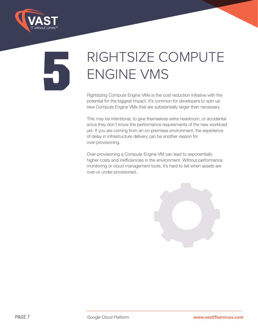

### RIGHTSIZE COMPUTE<br>ENGINE VMS ENGINE VMS

Rightsizing Compute Engine VMs is the cost reduction initiative with the potential for the biggest impact. It's common for developers to spin up new Compute Engine VMs that are substantially larger than necessary.

This may be intentional, to give themselves extra headroom, or accidental since they don't know the performance requirements of the new workload yet. If you are coming from an on-premises environment, the experience of delay in infrastructure delivery can be another reason for over-provisioning.

Over-provisioning a Compute Engine VM can lead to exponentially higher costs and inefficiencies in the environment. Without performance monitoring or cloud management tools, it's hard to tell when assets are over-or under-provisioned..

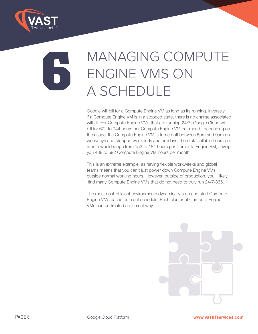

### **6** MANAGING COMPUTE ENGINE VMS ON A SCHEDULE

Google will bill for a Compute Engine VM as long as its running. Inversely, if a Compute Engine VM is in a stopped state, there is no charge associated with it. For Compute Engine VMs that are running 24/7, Google Cloud will bill for 672 to 744 hours per Compute Engine VM per month, depending on the usage. If a Compute Engine VM is turned off between 5pm and 9am on weekdays and stopped weekends and holidays, then total billable hours per month would range from 152 to 184 hours per Compute Engine VM, saving you 488 to 592 Compute Engine VM hours per month.

This is an extreme example, as having flexible workweeks and global teams means that you can't just power down Compute Engine VMs outside normal working hours. However, outside of production, you'll likely find many Compute Engine VMs that do not need to truly run 24/7/365.

The most cost-efficient environments dynamically stop and start Compute Engine VMs based on a set schedule. Each cluster of Compute Engine VMs can be treated a different way.

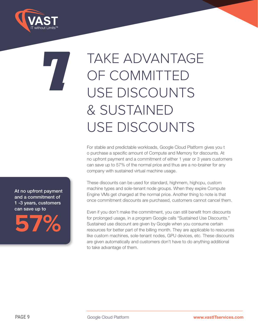

### **7** TAKE ADVANTAGE OF COMMITTED USE DISCOUNTS & SUSTAINED USE DISCOUNTS

For stable and predictable workloads, Google Cloud Platform gives you t o purchase a specific amount of Compute and Memory for discounts. At no upfront payment and a commitment of either 1 year or 3 years customers can save up to 57% of the normal price and thus are a no-brainer for any company with sustained virtual machine usage.

These discounts can be used for standard, highmem, highcpu, custom machine types and sole-tenant node groups. When they expire Compute Engine VMs get charged at the normal price. Another thing to note is that once commitment discounts are purchased, customers cannot cancel them.

Even if you don't make the commitment, you can still benefit from discounts for prolonged usage, in a program Google calls "Sustained Use Discounts." Sustained use discount are given by Google when you consume certain resources for better part of the billing month. They are applicable to resources like custom machines, sole-tenant nodes, GPU devices, etc. These discounts are given automatically and customers don't have to do anything additional to take advantage of them.

At no upfront payment and a commitment of 1 -3 years, customers can save up to

**57%**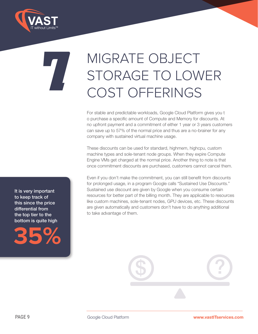

## MIGRATE OBJECT<br>STORAGE TO LOW<br>COST OFFERINGS STORAGE TO LOWER COST OFFERINGS

For stable and predictable workloads, Google Cloud Platform gives you t o purchase a specific amount of Compute and Memory for discounts. At no upfront payment and a commitment of either 1 year or 3 years customers can save up to 57% of the normal price and thus are a no-brainer for any company with sustained virtual machine usage.

These discounts can be used for standard, highmem, highcpu, custom machine types and sole-tenant node groups. When they expire Compute Engine VMs get charged at the normal price. Another thing to note is that once commitment discounts are purchased, customers cannot cancel them.

Even if you don't make the commitment, you can still benefit from discounts for prolonged usage, in a program Google calls "Sustained Use Discounts." Sustained use discount are given by Google when you consume certain resources for better part of the billing month. They are applicable to resources like custom machines, sole-tenant nodes, GPU devices, etc. These discounts are given automatically and customers don't have to do anything additional to take advantage of them.

\$ ?

It is very important to keep track of this since the price differential from the top tier to the bottom is quite high



PAGE 9 Google Cloud Platform **www.vastITservices.com**